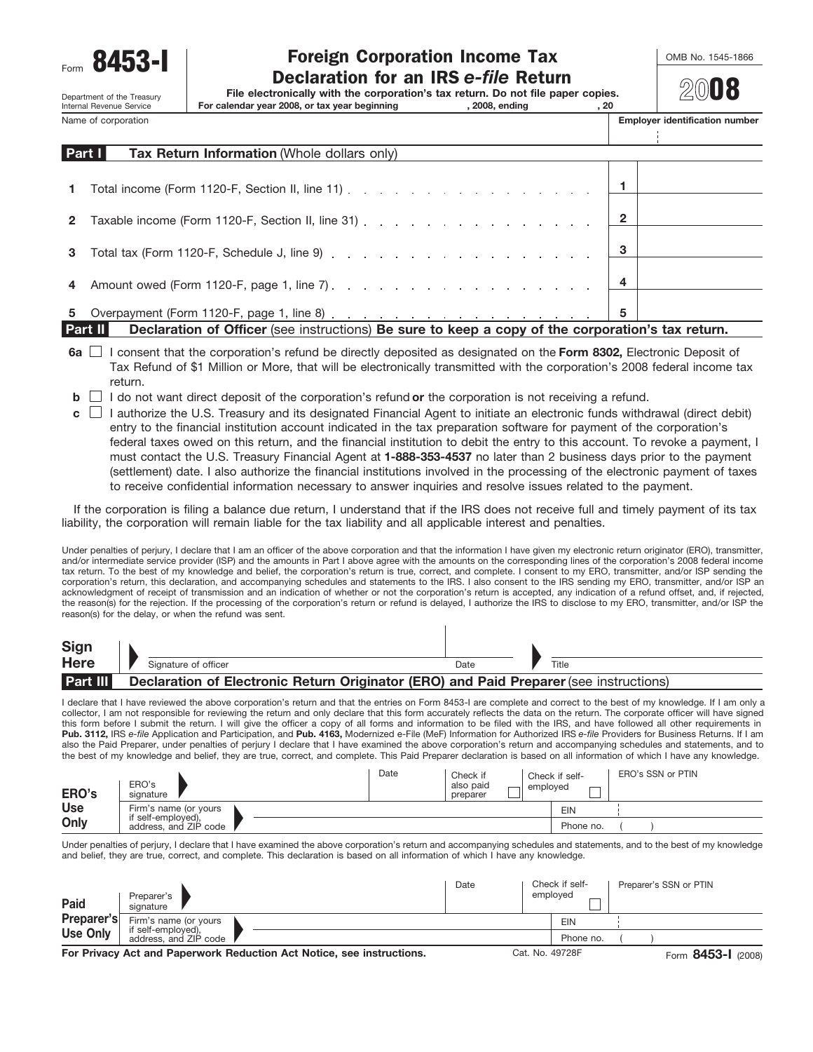Department of the Treasury<br>Internal Revenue Service

# Form **8453-I** Toreign Corporation Income Tax **COMB No. 1545-1866**<br>Declaration for an IRS *e-file* Return

**File electronically with the corporation's tax return. Do not file paper copies.**

Internal Revenue Service **For calendar year 2008, or tax year beginning , 2008, ending , 20**

Name of corporation **Employer identification number** 

|              | Part I<br><b>Tax Return Information (Whole dollars only)</b>                                                   |                |  |
|--------------|----------------------------------------------------------------------------------------------------------------|----------------|--|
|              |                                                                                                                |                |  |
| $\mathbf{1}$ | Total income (Form 1120-F, Section II, line 11) $\ldots$ $\ldots$ $\ldots$ $\ldots$ $\ldots$ $\ldots$ $\ldots$ |                |  |
|              |                                                                                                                |                |  |
| $\mathbf{2}$ | Taxable income (Form 1120-F, Section II, line 31) 2                                                            |                |  |
|              |                                                                                                                |                |  |
|              |                                                                                                                | 3              |  |
|              |                                                                                                                |                |  |
|              |                                                                                                                | $\overline{4}$ |  |
|              |                                                                                                                | 5              |  |

**Part II Declaration of Officer** (see instructions) **Be sure to keep a copy of the corporation's tax return.**

- **6a**  $\Box$  I consent that the corporation's refund be directly deposited as designated on the Form 8302, Electronic Deposit of Tax Refund of \$1 Million or More, that will be electronically transmitted with the corporation's 2008 federal income tax return.
- **b**  $\Box$  I do not want direct deposit of the corporation's refund **or** the corporation is not receiving a refund.
- I authorize the U.S. Treasury and its designated Financial Agent to initiate an electronic funds withdrawal (direct debit) **c** entry to the financial institution account indicated in the tax preparation software for payment of the corporation's federal taxes owed on this return, and the financial institution to debit the entry to this account. To revoke a payment, I must contact the U.S. Treasury Financial Agent at **1-888-353-4537** no later than 2 business days prior to the payment (settlement) date. I also authorize the financial institutions involved in the processing of the electronic payment of taxes to receive confidential information necessary to answer inquiries and resolve issues related to the payment.

If the corporation is filing a balance due return, I understand that if the IRS does not receive full and timely payment of its tax liability, the corporation will remain liable for the tax liability and all applicable interest and penalties.

Under penalties of perjury, I declare that I am an officer of the above corporation and that the information I have given my electronic return originator (ERO), transmitter, and/or intermediate service provider (ISP) and the amounts in Part I above agree with the amounts on the corresponding lines of the corporation's 2008 federal income tax return. To the best of my knowledge and belief, the corporation's return is true, correct, and complete. I consent to my ERO, transmitter, and/or ISP sending the corporation's return, this declaration, and accompanying schedules and statements to the IRS. I also consent to the IRS sending my ERO, transmitter, and/or ISP an acknowledgment of receipt of transmission and an indication of whether or not the corporation's return is accepted, any indication of a refund offset, and, if rejected, the reason(s) for the rejection. If the processing of the corporation's return or refund is delayed, I authorize the IRS to disclose to my ERO, transmitter, and/or ISP the reason(s) for the delay, or when the refund was sent.

| Sign            |                                                                                        |      |       |
|-----------------|----------------------------------------------------------------------------------------|------|-------|
| <b>Here</b>     | Signature of officer                                                                   | Date | Title |
| <b>Part III</b> | Declaration of Electronic Return Originator (ERO) and Paid Preparer (see instructions) |      |       |

I declare that I have reviewed the above corporation's return and that the entries on Form 8453-I are complete and correct to the best of my knowledge. If I am only a collector, I am not responsible for reviewing the return and only declare that this form accurately reflects the data on the return. The corporate officer will have signed this form before I submit the return. I will give the officer a copy of all forms and information to be filed with the IRS, and have followed all other requirements in<br>**Pub. 3112,** IRS e-*file* Application and Participatio also the Paid Preparer, under penalties of perjury I declare that I have examined the above corporation's return and accompanying schedules and statements, and to the best of my knowledge and belief, they are true, correct, and complete. This Paid Preparer declaration is based on all information of which I have any knowledge.

| ERO's      | ERO's<br>signature                          | Date | Check if<br>also paid<br>preparer |  | Check if self-<br>emploved | ERO's SSN or PTIN |
|------------|---------------------------------------------|------|-----------------------------------|--|----------------------------|-------------------|
| <b>Use</b> | Firm's name (or yours<br>if self-employed), |      |                                   |  | <b>EIN</b>                 |                   |
| Only       | address, and ZIP code                       |      |                                   |  | Phone no.                  |                   |

Under penalties of perjury, I declare that I have examined the above corporation's return and accompanying schedules and statements, and to the best of my knowledge and belief, they are true, correct, and complete. This declaration is based on all information of which I have any knowledge.

| Paid                                                                  | Preparer's<br>signature                                              | Date                                  |  | Check if self-<br>employed | Preparer's SSN or PTIN |  |  |  |  |
|-----------------------------------------------------------------------|----------------------------------------------------------------------|---------------------------------------|--|----------------------------|------------------------|--|--|--|--|
| Preparer's                                                            | Firm's name (or yours<br>if self-employed),<br>address, and ZIP code |                                       |  |                            | EIN                    |  |  |  |  |
| Use Only                                                              |                                                                      |                                       |  |                            | Phone no.              |  |  |  |  |
| For Privacy Act and Paperwork Reduction Act Notice, see instructions. |                                                                      | Cat. No. 49728F<br>Form 8453-1 (2008) |  |                            |                        |  |  |  |  |

**For Privacy Act and Paperwork Reduction Act Notice, see instructions.**